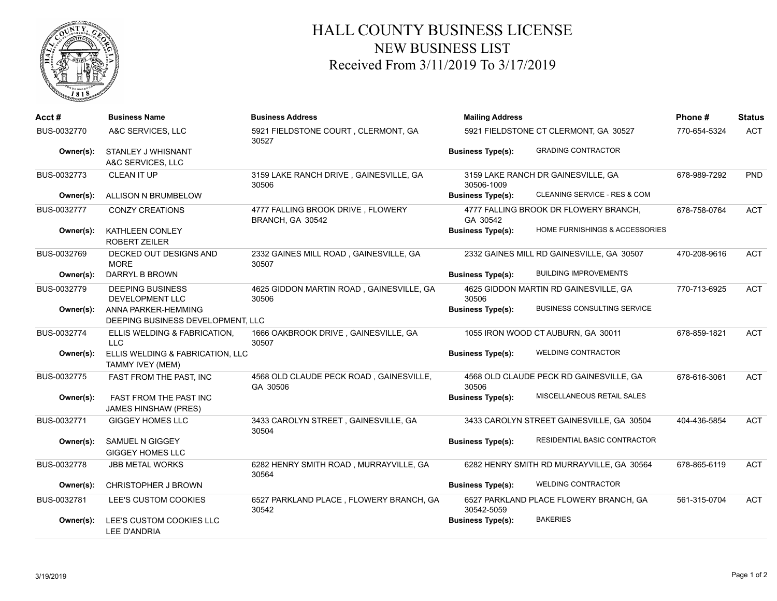

## HALL COUNTY BUSINESS LICENSE NEW BUSINESS LIST Received From 3/11/2019 To 3/17/2019

| Acct#       | <b>Business Name</b>                                     | <b>Business Address</b>                               | <b>Mailing Address</b>                |                                           | Phone#       | <b>Status</b> |
|-------------|----------------------------------------------------------|-------------------------------------------------------|---------------------------------------|-------------------------------------------|--------------|---------------|
| BUS-0032770 | A&C SERVICES, LLC                                        | 5921 FIELDSTONE COURT, CLERMONT, GA<br>30527          | 5921 FIELDSTONE CT CLERMONT, GA 30527 |                                           | 770-654-5324 | <b>ACT</b>    |
| Owner(s):   | STANLEY J WHISNANT<br>A&C SERVICES, LLC                  |                                                       | <b>Business Type(s):</b>              | <b>GRADING CONTRACTOR</b>                 |              |               |
| BUS-0032773 | CLEAN IT UP                                              | 3159 LAKE RANCH DRIVE, GAINESVILLE, GA<br>30506       | 30506-1009                            | 3159 LAKE RANCH DR GAINESVILLE, GA        | 678-989-7292 | <b>PND</b>    |
| Owner(s):   | ALLISON N BRUMBELOW                                      |                                                       | <b>Business Type(s):</b>              | CLEANING SERVICE - RES & COM              |              |               |
| BUS-0032777 | <b>CONZY CREATIONS</b>                                   | 4777 FALLING BROOK DRIVE, FLOWERY<br>BRANCH, GA 30542 | GA 30542                              | 4777 FALLING BROOK DR FLOWERY BRANCH,     | 678-758-0764 | <b>ACT</b>    |
| Owner(s):   | KATHLEEN CONLEY<br><b>ROBERT ZEILER</b>                  |                                                       | <b>Business Type(s):</b>              | HOME FURNISHINGS & ACCESSORIES            |              |               |
| BUS-0032769 | DECKED OUT DESIGNS AND<br><b>MORE</b>                    | 2332 GAINES MILL ROAD, GAINESVILLE, GA<br>30507       |                                       | 2332 GAINES MILL RD GAINESVILLE, GA 30507 | 470-208-9616 | <b>ACT</b>    |
| Owner(s):   | DARRYL B BROWN                                           |                                                       | <b>Business Type(s):</b>              | <b>BUILDING IMPROVEMENTS</b>              |              |               |
| BUS-0032779 | <b>DEEPING BUSINESS</b><br>DEVELOPMENT LLC               | 4625 GIDDON MARTIN ROAD, GAINESVILLE, GA<br>30506     | 30506                                 | 4625 GIDDON MARTIN RD GAINESVILLE, GA     | 770-713-6925 | <b>ACT</b>    |
| Owner(s):   | ANNA PARKER-HEMMING<br>DEEPING BUSINESS DEVELOPMENT, LLC |                                                       | <b>Business Type(s):</b>              | <b>BUSINESS CONSULTING SERVICE</b>        |              |               |
| BUS-0032774 | ELLIS WELDING & FABRICATION,<br><b>LLC</b>               | 1666 OAKBROOK DRIVE, GAINESVILLE, GA<br>30507         |                                       | 1055 IRON WOOD CT AUBURN, GA 30011        | 678-859-1821 | <b>ACT</b>    |
| Owner(s):   | ELLIS WELDING & FABRICATION, LLC<br>TAMMY IVEY (MEM)     |                                                       | <b>Business Type(s):</b>              | <b>WELDING CONTRACTOR</b>                 |              |               |
| BUS-0032775 | FAST FROM THE PAST, INC                                  | 4568 OLD CLAUDE PECK ROAD, GAINESVILLE,<br>GA 30506   | 30506                                 | 4568 OLD CLAUDE PECK RD GAINESVILLE, GA   | 678-616-3061 | <b>ACT</b>    |
| Owner(s):   | FAST FROM THE PAST INC<br><b>JAMES HINSHAW (PRES)</b>    |                                                       | <b>Business Type(s):</b>              | MISCELLANEOUS RETAIL SALES                |              |               |
| BUS-0032771 | <b>GIGGEY HOMES LLC</b>                                  | 3433 CAROLYN STREET, GAINESVILLE, GA<br>30504         |                                       | 3433 CAROLYN STREET GAINESVILLE, GA 30504 | 404-436-5854 | <b>ACT</b>    |
| Owner(s):   | SAMUEL N GIGGEY<br><b>GIGGEY HOMES LLC</b>               |                                                       | <b>Business Type(s):</b>              | RESIDENTIAL BASIC CONTRACTOR              |              |               |
| BUS-0032778 | <b>JBB METAL WORKS</b>                                   | 6282 HENRY SMITH ROAD, MURRAYVILLE, GA<br>30564       |                                       | 6282 HENRY SMITH RD MURRAYVILLE, GA 30564 | 678-865-6119 | <b>ACT</b>    |
| Owner(s):   | <b>CHRISTOPHER J BROWN</b>                               |                                                       | <b>Business Type(s):</b>              | <b>WELDING CONTRACTOR</b>                 |              |               |
| BUS-0032781 | LEE'S CUSTOM COOKIES                                     | 6527 PARKLAND PLACE, FLOWERY BRANCH, GA<br>30542      | 30542-5059                            | 6527 PARKLAND PLACE FLOWERY BRANCH, GA    | 561-315-0704 | <b>ACT</b>    |
| Owner(s):   | LEE'S CUSTOM COOKIES LLC<br><b>LEE D'ANDRIA</b>          |                                                       | <b>Business Type(s):</b>              | <b>BAKERIES</b>                           |              |               |